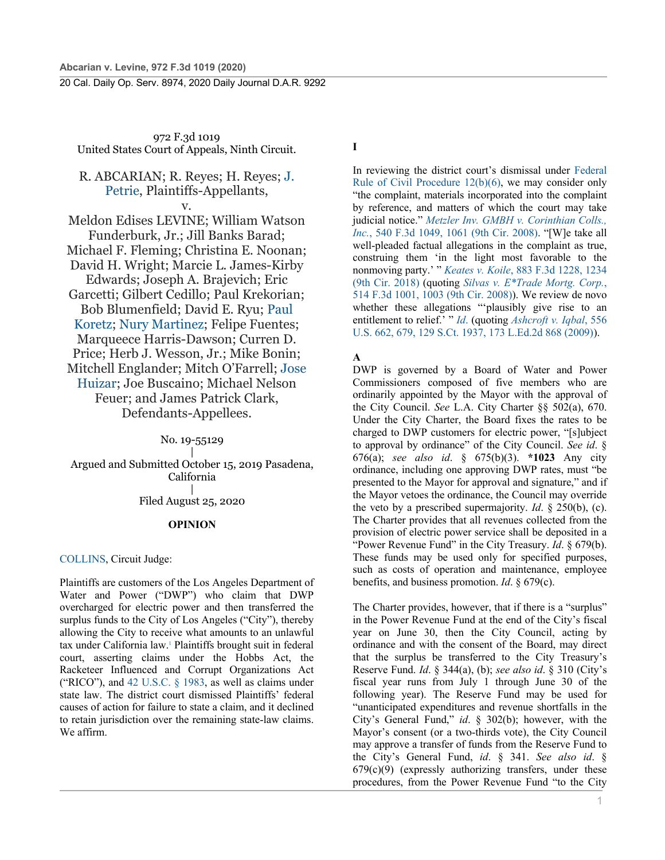972 F.3d 1019 United States Court of Appeals, Ninth Circuit.

# R. ABCARIAN; R. Reyes; H. Reyes; J. Petrie, Plaintiffs-Appellants, v.

Meldon Edises LEVINE; William Watson Funderburk, Jr.; Jill Banks Barad; Michael F. Fleming; Christina E. Noonan; David H. Wright; Marcie L. James-Kirby Edwards; Joseph A. Brajevich; Eric Garcetti; Gilbert Cedillo; Paul Krekorian; Bob Blumenfield; David E. Ryu; Paul Koretz; Nury Martinez; Felipe Fuentes; Marqueece Harris-Dawson; Curren D. Price; Herb J. Wesson, Jr.; Mike Bonin; Mitchell Englander; Mitch O'Farrell; Jose Huizar; Joe Buscaino; Michael Nelson Feuer; and James Patrick Clark, Defendants-Appellees.

### No. 19-55129

| Argued and Submitted October 15, 2019 Pasadena, California | Filed August 25, 2020

### **OPINION**

#### COLLINS, Circuit Judge:

Plaintiffs are customers of the Los Angeles Department of Water and Power ("DWP") who claim that DWP overcharged for electric power and then transferred the surplus funds to the City of Los Angeles ("City"), thereby allowing the City to receive what amounts to an unlawful tax under California law.1 Plaintiffs brought suit in federal court, asserting claims under the Hobbs Act, the Racketeer Influenced and Corrupt Organizations Act ("RICO"), and 42 U.S.C.  $\S$  1983, as well as claims under state law. The district court dismissed Plaintiffs' federal causes of action for failure to state a claim, and it declined to retain jurisdiction over the remaining state-law claims. We affirm.

**I**

In reviewing the district court's dismissal under Federal Rule of Civil Procedure 12(b)(6), we may consider only "the complaint, materials incorporated into the complaint by reference, and matters of which the court may take judicial notice." *Metzler Inv. GMBH v. Corinthian Colls., Inc.*, 540 F.3d 1049, 1061 (9th Cir. 2008). "[W]e take all well-pleaded factual allegations in the complaint as true, construing them 'in the light most favorable to the nonmoving party.' " *Keates v. Koile*, 883 F.3d 1228, 1234 (9th Cir. 2018) (quoting *Silvas v. E\*Trade Mortg. Corp.*, 514 F.3d 1001, 1003 (9th Cir. 2008)). We review de novo whether these allegations "'plausibly give rise to an entitlement to relief.' " *Id*. (quoting *Ashcroft v. Iqbal*, 556 U.S. 662, 679, 129 S.Ct. 1937, 173 L.Ed.2d 868 (2009)).

**A**

DWP is governed by a Board of Water and Power Commissioners composed of five members who are ordinarily appointed by the Mayor with the approval of the City Council. *See* L.A. City Charter §§ 502(a), 670. Under the City Charter, the Board fixes the rates to be charged to DWP customers for electric power, "[s]ubject to approval by ordinance" of the City Council. *See id*. § 676(a); *see also id*. § 675(b)(3). **\*1023** Any city ordinance, including one approving DWP rates, must "be presented to the Mayor for approval and signature," and if the Mayor vetoes the ordinance, the Council may override the veto by a prescribed supermajority. *Id*. § 250(b), (c). The Charter provides that all revenues collected from the provision of electric power service shall be deposited in a "Power Revenue Fund" in the City Treasury. *Id*. § 679(b). These funds may be used only for specified purposes, such as costs of operation and maintenance, employee benefits, and business promotion. *Id*. § 679(c).

The Charter provides, however, that if there is a "surplus" in the Power Revenue Fund at the end of the City's fiscal year on June 30, then the City Council, acting by ordinance and with the consent of the Board, may direct that the surplus be transferred to the City Treasury's Reserve Fund. *Id*. § 344(a), (b); *see also id*. § 310 (City's fiscal year runs from July 1 through June 30 of the following year). The Reserve Fund may be used for "unanticipated expenditures and revenue shortfalls in the City's General Fund," *id*. § 302(b); however, with the Mayor's consent (or a two-thirds vote), the City Council may approve a transfer of funds from the Reserve Fund to the City's General Fund, *id*. § 341. *See also id*. §  $679(c)(9)$  (expressly authorizing transfers, under these procedures, from the Power Revenue Fund "to the City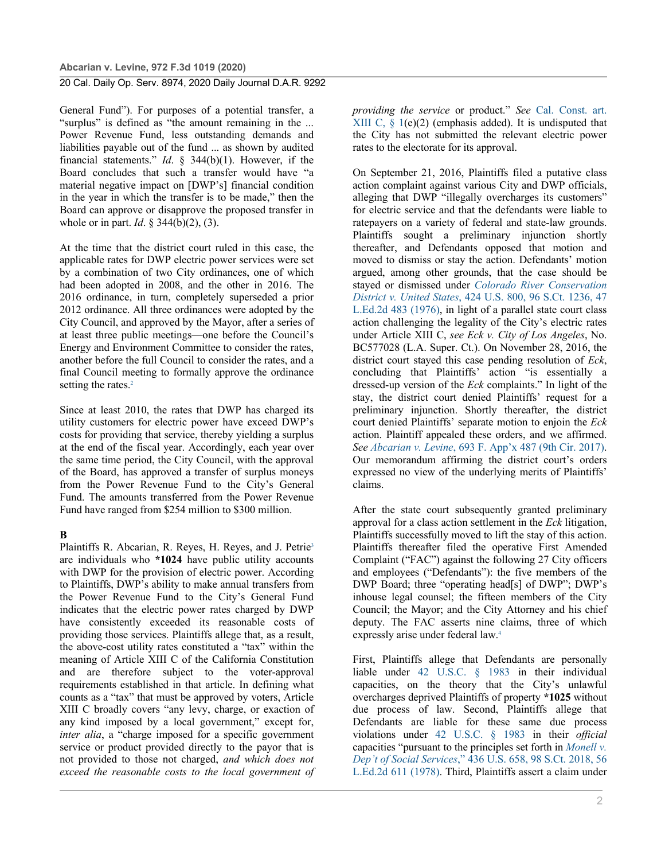### **Abcarian v. Levine, 972 F.3d 1019 (2020)**

# 20 Cal. Daily Op. Serv. 8974, 2020 Daily Journal D.A.R. 9292

General Fund"). For purposes of a potential transfer, a "surplus" is defined as "the amount remaining in the ... Power Revenue Fund, less outstanding demands and liabilities payable out of the fund ... as shown by audited financial statements." *Id*. § 344(b)(1). However, if the Board concludes that such a transfer would have "a material negative impact on [DWP's] financial condition in the year in which the transfer is to be made," then the Board can approve or disapprove the proposed transfer in whole or in part. *Id*. § 344(b)(2), (3).

At the time that the district court ruled in this case, the applicable rates for DWP electric power services were set by a combination of two City ordinances, one of which had been adopted in 2008, and the other in 2016. The 2016 ordinance, in turn, completely superseded a prior 2012 ordinance. All three ordinances were adopted by the City Council, and approved by the Mayor, after a series of at least three public meetings—one before the Council's Energy and Environment Committee to consider the rates, another before the full Council to consider the rates, and a final Council meeting to formally approve the ordinance setting the rates.<sup>2</sup>

Since at least 2010, the rates that DWP has charged its utility customers for electric power have exceed DWP's costs for providing that service, thereby yielding a surplus at the end of the fiscal year. Accordingly, each year over the same time period, the City Council, with the approval of the Board, has approved a transfer of surplus moneys from the Power Revenue Fund to the City's General Fund. The amounts transferred from the Power Revenue Fund have ranged from \$254 million to \$300 million.

# **B**

Plaintiffs R. Abcarian, R. Reyes, H. Reyes, and J. Petrie<sup>3</sup> are individuals who **\*1024** have public utility accounts with DWP for the provision of electric power. According to Plaintiffs, DWP's ability to make annual transfers from the Power Revenue Fund to the City's General Fund indicates that the electric power rates charged by DWP have consistently exceeded its reasonable costs of providing those services. Plaintiffs allege that, as a result, the above-cost utility rates constituted a "tax" within the meaning of Article XIII C of the California Constitution and are therefore subject to the voter-approval requirements established in that article. In defining what counts as a "tax" that must be approved by voters, Article XIII C broadly covers "any levy, charge, or exaction of any kind imposed by a local government," except for, *inter alia*, a "charge imposed for a specific government service or product provided directly to the payor that is not provided to those not charged, *and which does not exceed the reasonable costs to the local government of*  *providing the service* or product." *See* Cal. Const. art. XIII C,  $\S$  1(e)(2) (emphasis added). It is undisputed that the City has not submitted the relevant electric power rates to the electorate for its approval.

On September 21, 2016, Plaintiffs filed a putative class action complaint against various City and DWP officials, alleging that DWP "illegally overcharges its customers" for electric service and that the defendants were liable to ratepayers on a variety of federal and state-law grounds. Plaintiffs sought a preliminary injunction shortly thereafter, and Defendants opposed that motion and moved to dismiss or stay the action. Defendants' motion argued, among other grounds, that the case should be stayed or dismissed under *Colorado River Conservation District v. United States*, 424 U.S. 800, 96 S.Ct. 1236, 47 L.Ed.2d 483 (1976), in light of a parallel state court class action challenging the legality of the City's electric rates under Article XIII C, *see Eck v. City of Los Angeles*, No. BC577028 (L.A. Super. Ct.). On November 28, 2016, the district court stayed this case pending resolution of *Eck*, concluding that Plaintiffs' action "is essentially a dressed-up version of the *Eck* complaints." In light of the stay, the district court denied Plaintiffs' request for a preliminary injunction. Shortly thereafter, the district court denied Plaintiffs' separate motion to enjoin the *Eck* action. Plaintiff appealed these orders, and we affirmed. *See Abcarian v. Levine*, 693 F. App'x 487 (9th Cir. 2017). Our memorandum affirming the district court's orders expressed no view of the underlying merits of Plaintiffs' claims.

After the state court subsequently granted preliminary approval for a class action settlement in the *Eck* litigation, Plaintiffs successfully moved to lift the stay of this action. Plaintiffs thereafter filed the operative First Amended Complaint ("FAC") against the following 27 City officers and employees ("Defendants"): the five members of the DWP Board; three "operating head[s] of DWP"; DWP's inhouse legal counsel; the fifteen members of the City Council; the Mayor; and the City Attorney and his chief deputy. The FAC asserts nine claims, three of which expressly arise under federal law.4

First, Plaintiffs allege that Defendants are personally liable under 42 U.S.C. § 1983 in their individual capacities, on the theory that the City's unlawful overcharges deprived Plaintiffs of property **\*1025** without due process of law. Second, Plaintiffs allege that Defendants are liable for these same due process violations under 42 U.S.C. § 1983 in their *official* capacities "pursuant to the principles set forth in *Monell v. Dep't of Social Services*," 436 U.S. 658, 98 S.Ct. 2018, 56 L.Ed.2d 611 (1978). Third, Plaintiffs assert a claim under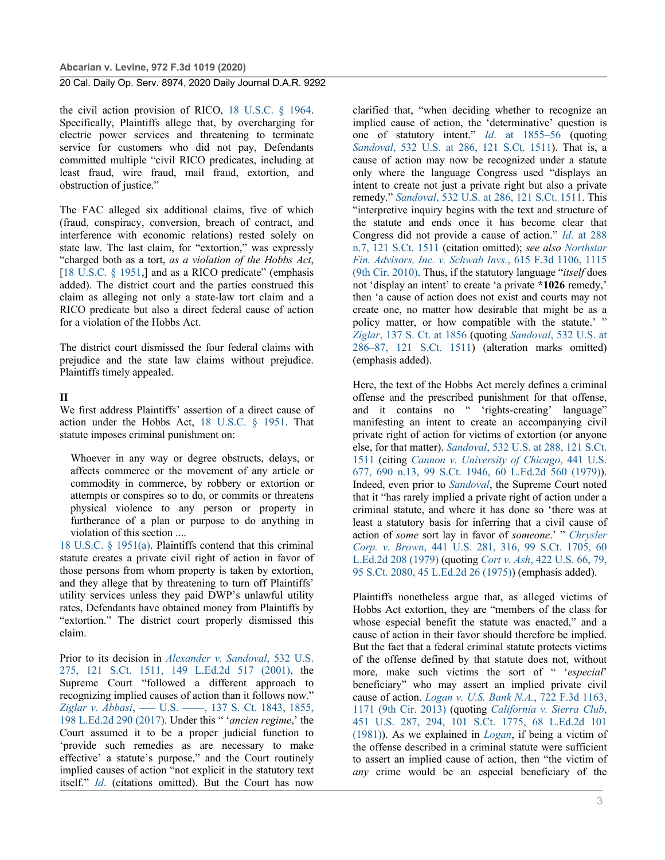the civil action provision of RICO, 18 U.S.C. § 1964. Specifically, Plaintiffs allege that, by overcharging for electric power services and threatening to terminate service for customers who did not pay, Defendants committed multiple "civil RICO predicates, including at least fraud, wire fraud, mail fraud, extortion, and obstruction of justice."

The FAC alleged six additional claims, five of which (fraud, conspiracy, conversion, breach of contract, and interference with economic relations) rested solely on state law. The last claim, for "extortion," was expressly "charged both as a tort, *as a violation of the Hobbs Act*, [18 U.S.C. § 1951,] and as a RICO predicate" (emphasis added). The district court and the parties construed this claim as alleging not only a state-law tort claim and a RICO predicate but also a direct federal cause of action for a violation of the Hobbs Act.

The district court dismissed the four federal claims with prejudice and the state law claims without prejudice. Plaintiffs timely appealed.

### **II**

We first address Plaintiffs' assertion of a direct cause of action under the Hobbs Act, 18 U.S.C. § 1951. That statute imposes criminal punishment on:

Whoever in any way or degree obstructs, delays, or affects commerce or the movement of any article or commodity in commerce, by robbery or extortion or attempts or conspires so to do, or commits or threatens physical violence to any person or property in furtherance of a plan or purpose to do anything in violation of this section ....

18 U.S.C. § 1951(a). Plaintiffs contend that this criminal statute creates a private civil right of action in favor of those persons from whom property is taken by extortion, and they allege that by threatening to turn off Plaintiffs' utility services unless they paid DWP's unlawful utility rates, Defendants have obtained money from Plaintiffs by "extortion." The district court properly dismissed this claim.

Prior to its decision in *Alexander v. Sandoval*, 532 U.S. 275, 121 S.Ct. 1511, 149 L.Ed.2d 517 (2001), the Supreme Court "followed a different approach to recognizing implied causes of action than it follows now." *Ziglar v. Abbasi*, ––– U.S. ––––, 137 S. Ct. 1843, 1855, 198 L.Ed.2d 290 (2017). Under this " '*ancien regime*,' the Court assumed it to be a proper judicial function to 'provide such remedies as are necessary to make effective' a statute's purpose," and the Court routinely implied causes of action "not explicit in the statutory text itself." *Id*. (citations omitted). But the Court has now

clarified that, "when deciding whether to recognize an implied cause of action, the 'determinative' question is one of statutory intent." *Id*. at 1855–56 (quoting *Sandoval*, 532 U.S. at 286, 121 S.Ct. 1511). That is, a cause of action may now be recognized under a statute only where the language Congress used "displays an intent to create not just a private right but also a private remedy." *Sandoval*, 532 U.S. at 286, 121 S.Ct. 1511. This "interpretive inquiry begins with the text and structure of the statute and ends once it has become clear that Congress did not provide a cause of action." *Id*. at 288 n.7, 121 S.Ct. 1511 (citation omitted); *see also Northstar Fin. Advisors, Inc. v. Schwab Invs.*, 615 F.3d 1106, 1115 (9th Cir. 2010). Thus, if the statutory language "*itself* does not 'display an intent' to create 'a private **\*1026** remedy,' then 'a cause of action does not exist and courts may not create one, no matter how desirable that might be as a policy matter, or how compatible with the statute.' " *Ziglar*, 137 S. Ct. at 1856 (quoting *Sandoval*, 532 U.S. at 286–87, 121 S.Ct. 1511) (alteration marks omitted) (emphasis added).

Here, the text of the Hobbs Act merely defines a criminal offense and the prescribed punishment for that offense, and it contains no " 'rights-creating' language" manifesting an intent to create an accompanying civil private right of action for victims of extortion (or anyone else, for that matter). *Sandoval*, 532 U.S. at 288, 121 S.Ct. 1511 (citing *Cannon v. University of Chicago*, 441 U.S. 677, 690 n.13, 99 S.Ct. 1946, 60 L.Ed.2d 560 (1979)). Indeed, even prior to *Sandoval*, the Supreme Court noted that it "has rarely implied a private right of action under a criminal statute, and where it has done so 'there was at least a statutory basis for inferring that a civil cause of action of *some* sort lay in favor of *someone*.' " *Chrysler Corp. v. Brown*, 441 U.S. 281, 316, 99 S.Ct. 1705, 60 L.Ed.2d 208 (1979) (quoting *Cort v. Ash*, 422 U.S. 66, 79, 95 S.Ct. 2080, 45 L.Ed.2d 26 (1975)) (emphasis added).

Plaintiffs nonetheless argue that, as alleged victims of Hobbs Act extortion, they are "members of the class for whose especial benefit the statute was enacted," and a cause of action in their favor should therefore be implied. But the fact that a federal criminal statute protects victims of the offense defined by that statute does not, without more, make such victims the sort of " '*especial*' beneficiary" who may assert an implied private civil cause of action. *Logan v. U.S. Bank N.A.*, 722 F.3d 1163, 1171 (9th Cir. 2013) (quoting *California v. Sierra Club*, 451 U.S. 287, 294, 101 S.Ct. 1775, 68 L.Ed.2d 101 (1981)). As we explained in *Logan*, if being a victim of the offense described in a criminal statute were sufficient to assert an implied cause of action, then "the victim of *any* crime would be an especial beneficiary of the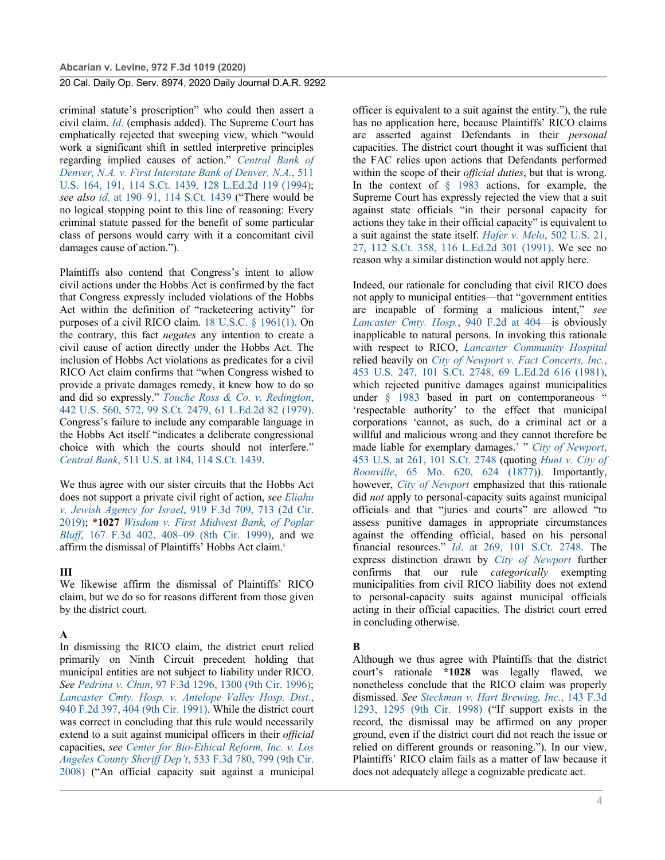criminal statute's proscription" who could then assert a civil claim. *Id*. (emphasis added). The Supreme Court has emphatically rejected that sweeping view, which "would work a significant shift in settled interpretive principles regarding implied causes of action." *Central Bank of Denver, N.A. v. First Interstate Bank of Denver, N.A.*, 511 U.S. 164, 191, 114 S.Ct. 1439, 128 L.Ed.2d 119 (1994); *see also id*. at 190–91, 114 S.Ct. 1439 ("There would be no logical stopping point to this line of reasoning: Every criminal statute passed for the benefit of some particular class of persons would carry with it a concomitant civil damages cause of action.").

Plaintiffs also contend that Congress's intent to allow civil actions under the Hobbs Act is confirmed by the fact that Congress expressly included violations of the Hobbs Act within the definition of "racketeering activity" for purposes of a civil RICO claim. 18 U.S.C. § 1961(1). On the contrary, this fact *negates* any intention to create a civil cause of action directly under the Hobbs Act. The inclusion of Hobbs Act violations as predicates for a civil RICO Act claim confirms that "when Congress wished to provide a private damages remedy, it knew how to do so and did so expressly." *Touche Ross & Co. v. Redington*, 442 U.S. 560, 572, 99 S.Ct. 2479, 61 L.Ed.2d 82 (1979). Congress's failure to include any comparable language in the Hobbs Act itself "indicates a deliberate congressional choice with which the courts should not interfere." *Central Bank*, 511 U.S. at 184, 114 S.Ct. 1439.

We thus agree with our sister circuits that the Hobbs Act does not support a private civil right of action, *see Eliahu v. Jewish Agency for Israel*, 919 F.3d 709, 713 (2d Cir. 2019); **\*1027** *Wisdom v. First Midwest Bank, of Poplar Bluff*, 167 F.3d 402, 408–09 (8th Cir. 1999), and we affirm the dismissal of Plaintiffs' Hobbs Act claim.5

#### **III**

We likewise affirm the dismissal of Plaintiffs' RICO claim, but we do so for reasons different from those given by the district court.

#### **A**

In dismissing the RICO claim, the district court relied primarily on Ninth Circuit precedent holding that municipal entities are not subject to liability under RICO. *See Pedrina v. Chun*, 97 F.3d 1296, 1300 (9th Cir. 1996); *Lancaster Cmty. Hosp. v. Antelope Valley Hosp. Dist.*, 940 F.2d 397, 404 (9th Cir. 1991). While the district court was correct in concluding that this rule would necessarily extend to a suit against municipal officers in their *official* capacities, *see Center for Bio-Ethical Reform, Inc. v. Los Angeles County Sheriff Dep't*, 533 F.3d 780, 799 (9th Cir. 2008) ("An official capacity suit against a municipal

officer is equivalent to a suit against the entity."), the rule has no application here, because Plaintiffs' RICO claims are asserted against Defendants in their *personal* capacities. The district court thought it was sufficient that the FAC relies upon actions that Defendants performed within the scope of their *official duties*, but that is wrong. In the context of § 1983 actions, for example, the Supreme Court has expressly rejected the view that a suit against state officials "in their personal capacity for actions they take in their official capacity" is equivalent to a suit against the state itself. *Hafer v. Melo*, 502 U.S. 21, 27, 112 S.Ct. 358, 116 L.Ed.2d 301 (1991). We see no reason why a similar distinction would not apply here.

Indeed, our rationale for concluding that civil RICO does not apply to municipal entities—that "government entities are incapable of forming a malicious intent," *see Lancaster Cmty. Hosp.*, 940 F.2d at 404—is obviously inapplicable to natural persons. In invoking this rationale with respect to RICO, *Lancaster Community Hospital* relied heavily on *City of Newport v. Fact Concerts, Inc.*, 453 U.S. 247, 101 S.Ct. 2748, 69 L.Ed.2d 616 (1981), which rejected punitive damages against municipalities under § 1983 based in part on contemporaneous " 'respectable authority' to the effect that municipal corporations 'cannot, as such, do a criminal act or a willful and malicious wrong and they cannot therefore be made liable for exemplary damages.' " *City of Newport*, 453 U.S. at 261, 101 S.Ct. 2748 (quoting *Hunt v. City of Boonville*, 65 Mo. 620, 624 (1877)). Importantly, however, *City of Newport* emphasized that this rationale did *not* apply to personal-capacity suits against municipal officials and that "juries and courts" are allowed "to assess punitive damages in appropriate circumstances against the offending official, based on his personal financial resources." *Id*. at 269, 101 S.Ct. 2748. The express distinction drawn by *City of Newport* further confirms that our rule *categorically* exempting municipalities from civil RICO liability does not extend to personal-capacity suits against municipal officials acting in their official capacities. The district court erred in concluding otherwise.

#### **B**

Although we thus agree with Plaintiffs that the district court's rationale **\*1028** was legally flawed, we nonetheless conclude that the RICO claim was properly dismissed. *See Steckman v. Hart Brewing, Inc.*, 143 F.3d 1293, 1295 (9th Cir. 1998) ("If support exists in the record, the dismissal may be affirmed on any proper ground, even if the district court did not reach the issue or relied on different grounds or reasoning."). In our view, Plaintiffs' RICO claim fails as a matter of law because it does not adequately allege a cognizable predicate act.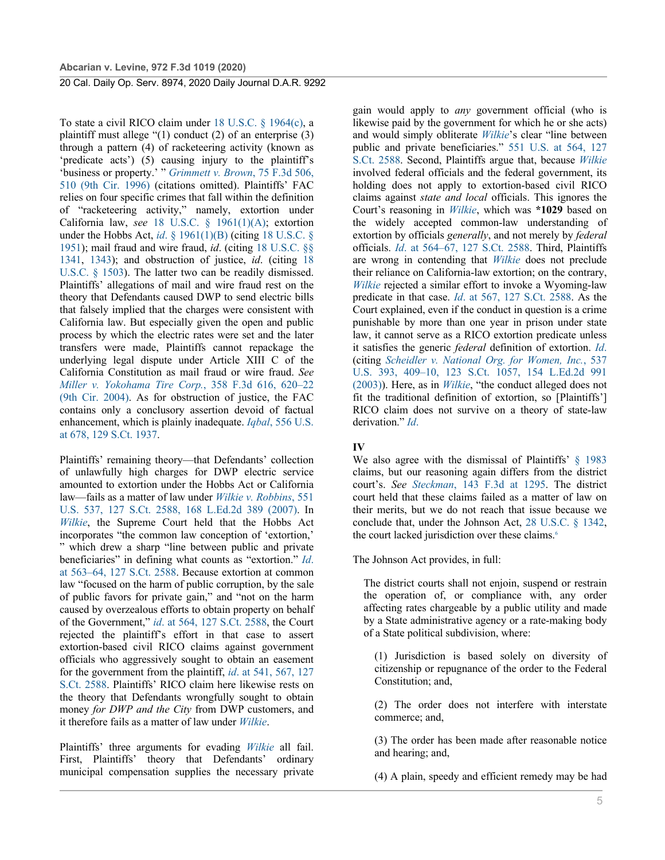To state a civil RICO claim under 18 U.S.C. § 1964(c), a plaintiff must allege "(1) conduct (2) of an enterprise (3) through a pattern (4) of racketeering activity (known as 'predicate acts') (5) causing injury to the plaintiff's 'business or property.' " *Grimmett v. Brown*, 75 F.3d 506, 510 (9th Cir. 1996) (citations omitted). Plaintiffs' FAC relies on four specific crimes that fall within the definition of "racketeering activity," namely, extortion under California law, *see* 18 U.S.C. § 1961(1)(A); extortion under the Hobbs Act, *id*. § 1961(1)(B) (citing 18 U.S.C. § 1951); mail fraud and wire fraud, *id*. (citing 18 U.S.C. §§ 1341, 1343); and obstruction of justice, *id*. (citing 18 U.S.C. § 1503). The latter two can be readily dismissed. Plaintiffs' allegations of mail and wire fraud rest on the theory that Defendants caused DWP to send electric bills that falsely implied that the charges were consistent with California law. But especially given the open and public process by which the electric rates were set and the later transfers were made, Plaintiffs cannot repackage the underlying legal dispute under Article XIII C of the California Constitution as mail fraud or wire fraud. *See Miller v. Yokohama Tire Corp.*, 358 F.3d 616, 620–22 (9th Cir. 2004). As for obstruction of justice, the FAC contains only a conclusory assertion devoid of factual enhancement, which is plainly inadequate. *Iqbal*, 556 U.S. at 678, 129 S.Ct. 1937.

Plaintiffs' remaining theory—that Defendants' collection of unlawfully high charges for DWP electric service amounted to extortion under the Hobbs Act or California law—fails as a matter of law under *Wilkie v. Robbins*, 551 U.S. 537, 127 S.Ct. 2588, 168 L.Ed.2d 389 (2007). In *Wilkie*, the Supreme Court held that the Hobbs Act incorporates "the common law conception of 'extortion,' " which drew a sharp "line between public and private beneficiaries" in defining what counts as "extortion." *Id*. at 563–64, 127 S.Ct. 2588. Because extortion at common law "focused on the harm of public corruption, by the sale of public favors for private gain," and "not on the harm caused by overzealous efforts to obtain property on behalf of the Government," *id*. at 564, 127 S.Ct. 2588, the Court rejected the plaintiff's effort in that case to assert extortion-based civil RICO claims against government officials who aggressively sought to obtain an easement for the government from the plaintiff, *id*. at 541, 567, 127 S.Ct. 2588. Plaintiffs' RICO claim here likewise rests on the theory that Defendants wrongfully sought to obtain money *for DWP and the City* from DWP customers, and it therefore fails as a matter of law under *Wilkie*.

Plaintiffs' three arguments for evading *Wilkie* all fail. First, Plaintiffs' theory that Defendants' ordinary municipal compensation supplies the necessary private gain would apply to *any* government official (who is likewise paid by the government for which he or she acts) and would simply obliterate *Wilkie*'s clear "line between public and private beneficiaries." 551 U.S. at 564, 127 S.Ct. 2588. Second, Plaintiffs argue that, because *Wilkie* involved federal officials and the federal government, its holding does not apply to extortion-based civil RICO claims against *state and local* officials. This ignores the Court's reasoning in *Wilkie*, which was **\*1029** based on the widely accepted common-law understanding of extortion by officials *generally*, and not merely by *federal* officials. *Id*. at 564–67, 127 S.Ct. 2588. Third, Plaintiffs are wrong in contending that *Wilkie* does not preclude their reliance on California-law extortion; on the contrary, *Wilkie* rejected a similar effort to invoke a Wyoming-law predicate in that case. *Id*. at 567, 127 S.Ct. 2588. As the Court explained, even if the conduct in question is a crime punishable by more than one year in prison under state law, it cannot serve as a RICO extortion predicate unless it satisfies the generic *federal* definition of extortion. *Id*. (citing *Scheidler v. National Org. for Women, Inc.*, 537 U.S. 393, 409–10, 123 S.Ct. 1057, 154 L.Ed.2d 991 (2003)). Here, as in *Wilkie*, "the conduct alleged does not fit the traditional definition of extortion, so [Plaintiffs'] RICO claim does not survive on a theory of state-law derivation." *Id*.

# **IV**

We also agree with the dismissal of Plaintiffs' § 1983 claims, but our reasoning again differs from the district court's. *See Steckman*, 143 F.3d at 1295. The district court held that these claims failed as a matter of law on their merits, but we do not reach that issue because we conclude that, under the Johnson Act, 28 U.S.C. § 1342, the court lacked jurisdiction over these claims.<sup>6</sup>

The Johnson Act provides, in full:

The district courts shall not enjoin, suspend or restrain the operation of, or compliance with, any order affecting rates chargeable by a public utility and made by a State administrative agency or a rate-making body of a State political subdivision, where:

(1) Jurisdiction is based solely on diversity of citizenship or repugnance of the order to the Federal Constitution; and,

(2) The order does not interfere with interstate commerce; and,

(3) The order has been made after reasonable notice and hearing; and,

(4) A plain, speedy and efficient remedy may be had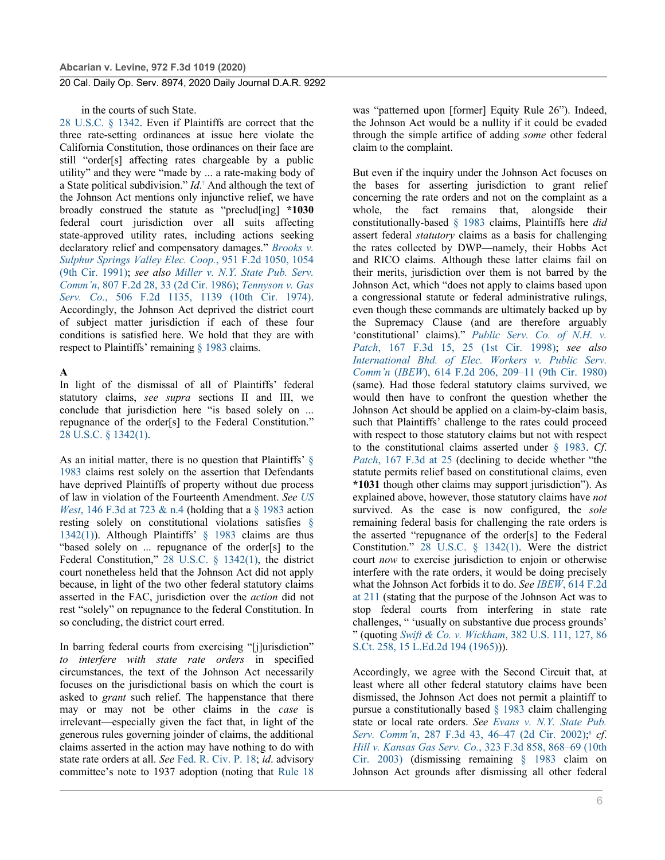#### in the courts of such State.

28 U.S.C. § 1342. Even if Plaintiffs are correct that the three rate-setting ordinances at issue here violate the California Constitution, those ordinances on their face are still "order[s] affecting rates chargeable by a public utility" and they were "made by ... a rate-making body of a State political subdivision." *Id*. <sup>7</sup> And although the text of the Johnson Act mentions only injunctive relief, we have broadly construed the statute as "preclud[ing] **\*1030** federal court jurisdiction over all suits affecting state-approved utility rates, including actions seeking declaratory relief and compensatory damages." *Brooks v. Sulphur Springs Valley Elec. Coop.*, 951 F.2d 1050, 1054 (9th Cir. 1991); *see also Miller v. N.Y. State Pub. Serv. Comm'n*, 807 F.2d 28, 33 (2d Cir. 1986); *Tennyson v. Gas Serv. Co.*, 506 F.2d 1135, 1139 (10th Cir. 1974). Accordingly, the Johnson Act deprived the district court of subject matter jurisdiction if each of these four conditions is satisfied here. We hold that they are with respect to Plaintiffs' remaining § 1983 claims.

#### **A**

In light of the dismissal of all of Plaintiffs' federal statutory claims, *see supra* sections II and III, we conclude that jurisdiction here "is based solely on ... repugnance of the order[s] to the Federal Constitution." 28 U.S.C. § 1342(1).

As an initial matter, there is no question that Plaintiffs' § 1983 claims rest solely on the assertion that Defendants have deprived Plaintiffs of property without due process of law in violation of the Fourteenth Amendment. *See US West*, 146 F.3d at 723 & n.4 (holding that a § 1983 action resting solely on constitutional violations satisfies § 1342(1)). Although Plaintiffs' § 1983 claims are thus "based solely on ... repugnance of the order[s] to the Federal Constitution," 28 U.S.C. § 1342(1), the district court nonetheless held that the Johnson Act did not apply because, in light of the two other federal statutory claims asserted in the FAC, jurisdiction over the *action* did not rest "solely" on repugnance to the federal Constitution. In so concluding, the district court erred.

In barring federal courts from exercising "[j]urisdiction" *to interfere with state rate orders* in specified circumstances, the text of the Johnson Act necessarily focuses on the jurisdictional basis on which the court is asked to *grant* such relief. The happenstance that there may or may not be other claims in the *case* is irrelevant—especially given the fact that, in light of the generous rules governing joinder of claims, the additional claims asserted in the action may have nothing to do with state rate orders at all. *See* Fed. R. Civ. P. 18; *id*. advisory committee's note to 1937 adoption (noting that Rule 18

was "patterned upon [former] Equity Rule 26"). Indeed, the Johnson Act would be a nullity if it could be evaded through the simple artifice of adding *some* other federal claim to the complaint.

But even if the inquiry under the Johnson Act focuses on the bases for asserting jurisdiction to grant relief concerning the rate orders and not on the complaint as a whole, the fact remains that, alongside their constitutionally-based § 1983 claims, Plaintiffs here *did* assert federal *statutory* claims as a basis for challenging the rates collected by DWP—namely, their Hobbs Act and RICO claims. Although these latter claims fail on their merits, jurisdiction over them is not barred by the Johnson Act, which "does not apply to claims based upon a congressional statute or federal administrative rulings, even though these commands are ultimately backed up by the Supremacy Clause (and are therefore arguably 'constitutional' claims)." *Public Serv. Co. of N.H. v. Patch*, 167 F.3d 15, 25 (1st Cir. 1998); *see also International Bhd. of Elec. Workers v. Public Serv. Comm'n* (*IBEW*), 614 F.2d 206, 209–11 (9th Cir. 1980) (same). Had those federal statutory claims survived, we would then have to confront the question whether the Johnson Act should be applied on a claim-by-claim basis, such that Plaintiffs' challenge to the rates could proceed with respect to those statutory claims but not with respect to the constitutional claims asserted under § 1983. *Cf*. *Patch*, 167 F.3d at 25 (declining to decide whether "the statute permits relief based on constitutional claims, even **\*1031** though other claims may support jurisdiction"). As explained above, however, those statutory claims have *not* survived. As the case is now configured, the *sole* remaining federal basis for challenging the rate orders is the asserted "repugnance of the order[s] to the Federal Constitution." 28 U.S.C. § 1342(1). Were the district court *now* to exercise jurisdiction to enjoin or otherwise interfere with the rate orders, it would be doing precisely what the Johnson Act forbids it to do. *See IBEW*, 614 F.2d at 211 (stating that the purpose of the Johnson Act was to stop federal courts from interfering in state rate challenges, " 'usually on substantive due process grounds' " (quoting *Swift & Co. v. Wickham*, 382 U.S. 111, 127, 86 S.Ct. 258, 15 L.Ed.2d 194 (1965))).

Accordingly, we agree with the Second Circuit that, at least where all other federal statutory claims have been dismissed, the Johnson Act does not permit a plaintiff to pursue a constitutionally based § 1983 claim challenging state or local rate orders. *See Evans v. N.Y. State Pub. Serv. Comm'n*, 287 F.3d 43, 46–47 (2d Cir. 2002); <sup>8</sup> *cf*. *Hill v. Kansas Gas Serv. Co.*, 323 F.3d 858, 868–69 (10th Cir. 2003) (dismissing remaining § 1983 claim on Johnson Act grounds after dismissing all other federal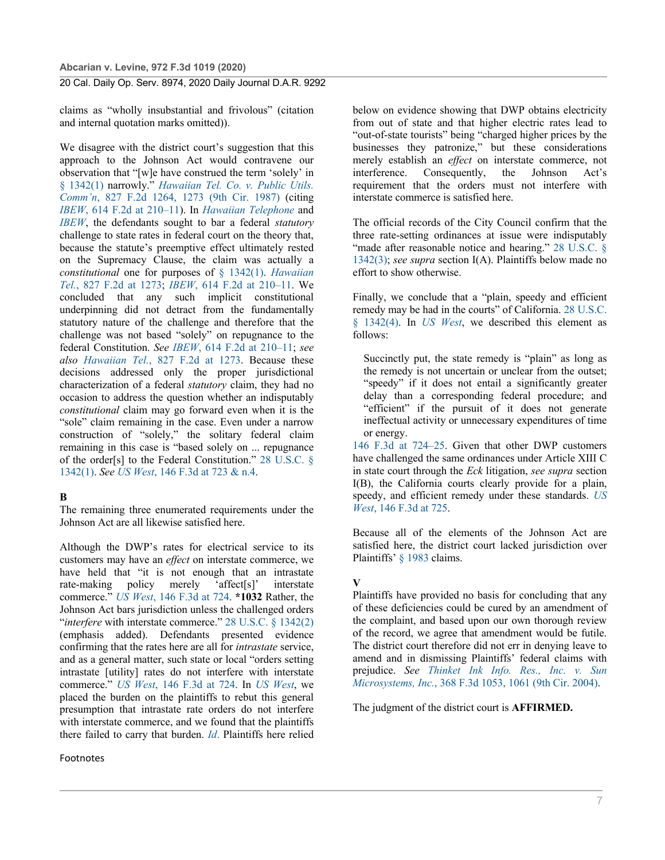claims as "wholly insubstantial and frivolous" (citation and internal quotation marks omitted)).

We disagree with the district court's suggestion that this approach to the Johnson Act would contravene our observation that "[w]e have construed the term 'solely' in § 1342(1) narrowly." *Hawaiian Tel. Co. v. Public Utils. Comm'n*, 827 F.2d 1264, 1273 (9th Cir. 1987) (citing *IBEW*, 614 F.2d at 210–11). In *Hawaiian Telephone* and *IBEW*, the defendants sought to bar a federal *statutory* challenge to state rates in federal court on the theory that, because the statute's preemptive effect ultimately rested on the Supremacy Clause, the claim was actually a *constitutional* one for purposes of § 1342(1). *Hawaiian Tel.*, 827 F.2d at 1273; *IBEW*, 614 F.2d at 210–11. We concluded that any such implicit constitutional underpinning did not detract from the fundamentally statutory nature of the challenge and therefore that the challenge was not based "solely" on repugnance to the federal Constitution. *See IBEW*, 614 F.2d at 210–11; *see also Hawaiian Tel.*, 827 F.2d at 1273. Because these decisions addressed only the proper jurisdictional characterization of a federal *statutory* claim, they had no occasion to address the question whether an indisputably *constitutional* claim may go forward even when it is the "sole" claim remaining in the case. Even under a narrow construction of "solely," the solitary federal claim remaining in this case is "based solely on ... repugnance of the order[s] to the Federal Constitution." 28 U.S.C. § 1342(1). *See US West*, 146 F.3d at 723 & n.4.

#### **B**

The remaining three enumerated requirements under the Johnson Act are all likewise satisfied here.

Although the DWP's rates for electrical service to its customers may have an *effect* on interstate commerce, we have held that "it is not enough that an intrastate rate-making policy merely 'affect[s]' interstate commerce." *US West*, 146 F.3d at 724. **\*1032** Rather, the Johnson Act bars jurisdiction unless the challenged orders "*interfere* with interstate commerce." 28 U.S.C. § 1342(2) (emphasis added). Defendants presented evidence confirming that the rates here are all for *intrastate* service, and as a general matter, such state or local "orders setting intrastate [utility] rates do not interfere with interstate commerce." *US West*, 146 F.3d at 724. In *US West*, we placed the burden on the plaintiffs to rebut this general presumption that intrastate rate orders do not interfere with interstate commerce, and we found that the plaintiffs there failed to carry that burden. *Id*. Plaintiffs here relied

### Footnotes

below on evidence showing that DWP obtains electricity from out of state and that higher electric rates lead to "out-of-state tourists" being "charged higher prices by the businesses they patronize," but these considerations merely establish an *effect* on interstate commerce, not interference. Consequently, the Johnson Act's requirement that the orders must not interfere with interstate commerce is satisfied here.

The official records of the City Council confirm that the three rate-setting ordinances at issue were indisputably "made after reasonable notice and hearing." 28 U.S.C. § 1342(3); *see supra* section I(A). Plaintiffs below made no effort to show otherwise.

Finally, we conclude that a "plain, speedy and efficient remedy may be had in the courts" of California. 28 U.S.C. § 1342(4). In *US West*, we described this element as follows:

Succinctly put, the state remedy is "plain" as long as the remedy is not uncertain or unclear from the outset; "speedy" if it does not entail a significantly greater delay than a corresponding federal procedure; and "efficient" if the pursuit of it does not generate ineffectual activity or unnecessary expenditures of time or energy.

146 F.3d at 724–25. Given that other DWP customers have challenged the same ordinances under Article XIII C in state court through the *Eck* litigation, *see supra* section I(B), the California courts clearly provide for a plain, speedy, and efficient remedy under these standards. *US West*, 146 F.3d at 725.

Because all of the elements of the Johnson Act are satisfied here, the district court lacked jurisdiction over Plaintiffs' § 1983 claims.

#### **V**

Plaintiffs have provided no basis for concluding that any of these deficiencies could be cured by an amendment of the complaint, and based upon our own thorough review of the record, we agree that amendment would be futile. The district court therefore did not err in denying leave to amend and in dismissing Plaintiffs' federal claims with prejudice. *See Thinket Ink Info. Res., Inc. v. Sun Microsystems, Inc.*, 368 F.3d 1053, 1061 (9th Cir. 2004).

The judgment of the district court is **AFFIRMED.**